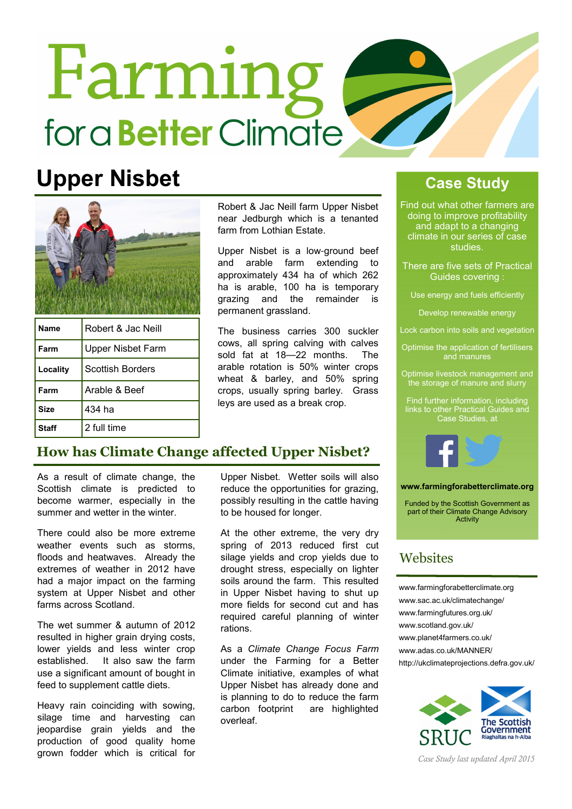# **Farming** for a **Better** Climate

# Upper Nisbet Case Study



| Name     | Robert & Jac Neill       |
|----------|--------------------------|
| Farm     | <b>Upper Nisbet Farm</b> |
| Locality | <b>Scottish Borders</b>  |
| Farm     | Arable & Beef            |
| Size     | 434 ha                   |
| Staff    | 2 full time              |

Robert & Jac Neill farm Upper Nisbet near Jedburgh which is a tenanted farm from Lothian Estate.

Upper Nisbet is a low-ground beef and arable farm extending to approximately 434 ha of which 262 ha is arable, 100 ha is temporary grazing and the remainder is permanent grassland.

The business carries 300 suckler cows, all spring calving with calves sold fat at 18—22 months. The arable rotation is 50% winter crops wheat & barley, and 50% spring crops, usually spring barley. Grass leys are used as a break crop.

Find out what other farmers are doing to improve profitability and adapt to a changing climate in our series of case studies.

There are five sets of Practical Guides covering :

Use energy and fuels efficiently

Develop renewable energy

Lock carbon into soils and vegetation

Optimise the application of fertilisers and manures

Optimise livestock management and the storage of manure and slurry

Find further information, including links to other Practical Guides and Case Studies, at



www.farmingforabetterclimate.org

Funded by the Scottish Government as part of their Climate Change Advisory Activity

# **Websites**

www.farmingforabetterclimate.org www.sac.ac.uk/climatechange/ www.farmingfutures.org.uk/ www.scotland.gov.uk/ www.planet4farmers.co.uk/ www.adas.co.uk/MANNER/ http://ukclimateprojections.defra.gov.uk/



Case Study last updated April 2015

# How has Climate Change affected Upper Nisbet?

As a result of climate change, the Scottish climate is predicted to become warmer, especially in the summer and wetter in the winter.

There could also be more extreme weather events such as storms, floods and heatwaves. Already the extremes of weather in 2012 have had a major impact on the farming system at Upper Nisbet and other farms across Scotland.

The wet summer & autumn of 2012 resulted in higher grain drying costs, lower yields and less winter crop established. It also saw the farm use a significant amount of bought in feed to supplement cattle diets.

Heavy rain coinciding with sowing, silage time and harvesting can jeopardise grain yields and the production of good quality home grown fodder which is critical for

Upper Nisbet. Wetter soils will also reduce the opportunities for grazing, possibly resulting in the cattle having to be housed for longer.

At the other extreme, the very dry spring of 2013 reduced first cut silage yields and crop yields due to drought stress, especially on lighter soils around the farm. This resulted in Upper Nisbet having to shut up more fields for second cut and has required careful planning of winter rations.

As a Climate Change Focus Farm under the Farming for a Better Climate initiative, examples of what Upper Nisbet has already done and is planning to do to reduce the farm carbon footprint are highlighted overleaf.